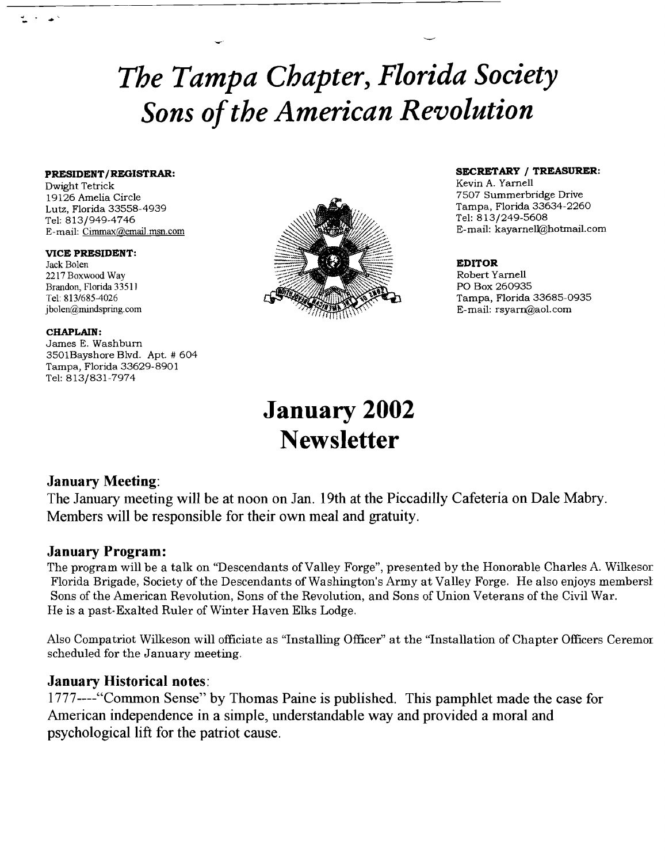# *The Tampa Chapter, Florida Society Sons ofthe American Revolution*

Dwight Tetrick Kevin A. Yarnell<br>19126 Amelia Circle 2008 - 2009 - 2009 - 2009 - 2012 - 2013 - 2014 - 2012 - 2013 - 2014 - 2013 - 2014 - 2013<br>2014 - 2013 - 2014 - 2014 - 2014 - 2014 - 2014 - 2014 - 2014 - 2014 - 2014 - 2014 E-mail: Cimmax@email.msn.com

VICE PRESIDENT:<br>Jack Bolen Brandon, Florida 33511<br>Tel: 813/685-4026

### CHAPLAIN:

James E. Washburn 3501Bayshore Blvd. Apt. # 604 Tampa, Florida 33629-8901 Tel: 813/831-7974



**PRESIDENT/REGISTRAR: Internal SECRETARY / TREASURER: Internal SECRETARY / TREASURER:** Internal SECRETARY **I** 7507 Summerbridge Drive<br>Tampa, Florida 33634-2260

E-mail: rsyarn@aol.com

## **January 2002 Newsletter**

## January Meeting:

The January meeting will be at noon on Jan. 19th at the Piccadilly Cafeteria on Dale Mabry. Members will be responsible for their own meal and gratuity.

## January Program:

The program will be a talk on "Descendants of Valley Forge", presented by the Honorable Charles A. Wilkesor Florida Brigade, Society of the Descendants of Washington's Army at Valley Forge. He also enjoys membersl Sons of the American Revolution, Sons of the Revolution, and Sons of Union Veterans of the Civil War. He is a past-Exalted Ruler of Winter Haven Elks Lodge.

Also Compatriot Wilkeson will officiate as "Installing Officer" at the "Installation of Chapter Officers Ceremor scheduled for the January meeting.

## January Historical notes:

l777----"Common Sense" by Thomas Paine is published. This pamphlet made the case for American independence in a simple, understandable way and provided a moral and psychological lift for the patriot cause.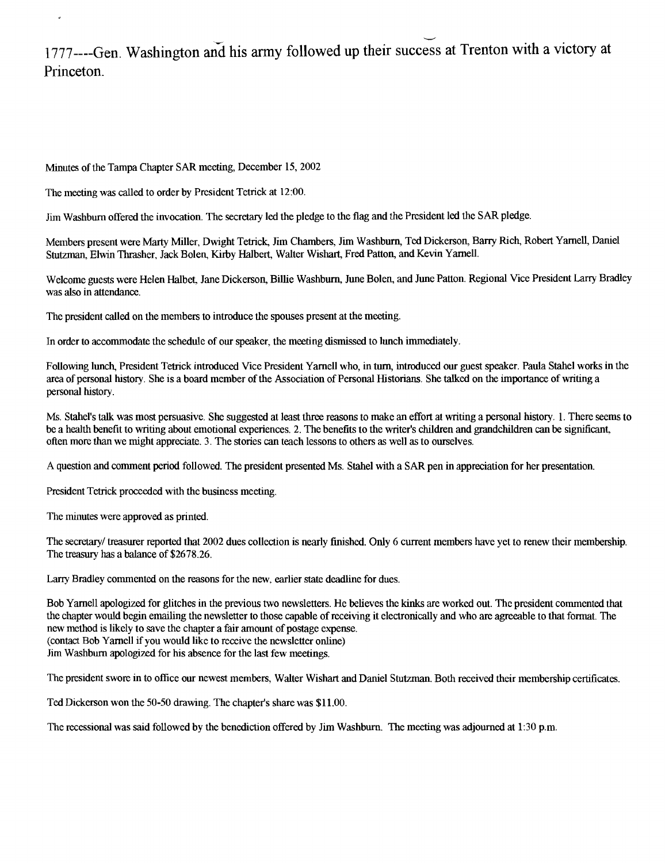## 1777---- Gen. Washington and his army followed up their success at Trenton with a victory at Princeton.

Minutes of the Tampa Chapter SAR meeting, December 15, 2002

The meeting was called to order by President Tetrick at 12:00.

J

Jim Washburn offered the invocation. The secretary led the pledge to the flag and the President led the SAR pledge.

Members present were Marty Miller, Dwight Tetrick, Jim Chambers, Jim Washburn, Ted Dickerson, Barry Rich, Robert Yarnell, Daniel Stutzman, Elwin Thrasher, Jack Bolen, Kirby Halbert, Walter Wishart, Fred Patton, and Kevin Yarnell.

Welcome guests were Helen Halbet, Jane Dickerson, Billie Washburn, June Bolen, and June Patton. Regional Vice President Larry Bradley was also in attendance.

The president called on the members to introduce the spouses present at the meeting.

In order to accommodate the schedule of our speaker, the meeting dismissed to lunch immediately.

Following lunch, President Tetrick introduced Vice President Yarnell who, in turn, introduced our guest speaker. Paula Stahel works in the area of personal history. She is a board member of the Association of Personal Historians. She talked on the importance of writing a personal history.

Ms. Stahel's talk was most persuasive. She suggested at least three reasons to make an effort at writing a personal history. 1. There seems to be a health benefit to writing about emotional experiences. 2. The benefits to the writer's children and grandchildren can be significant, often more than we might appreciate. 3. The stories can teach lessons to others as well as to ourselves.

A question and comment period followed. The president presented Ms. Stahel with a SAR pen in appreciation for her presentation.

President Tetrick proceeded with the business meeting.

The minutes were approved as printed.

The secretary/ treasurer reported that 2002 dues collection is nearly finished. Only 6 current members have yet to renew their membership. The treasury has a balance of \$2678.26.

Larry Bradley commented on the reasons for the new, earlier state deadline for dues.

Bob Yarnell apologized for glitches in the previous two newsletters. He believes the kinks are worked out. The president commented that the chapter would begin emailing the newsletter to those capable of receiving it electronically and who are agreeable to that format. The new method is likely to save the chapter a fair amount of postage expense. (contact Bob Yarnell if you would like to receive the newsletter online) Jim Washburn apologized for his absence for the last few meetings.

The president swore in to office our newest members, Walter Wishart and Daniel Stutzman. Both received their membership certificates.

Ted Dickerson won the 50-50 drawing. The chapter's share was \$11.00.

The recessional was said followed by the benediction offered by Jim Washburn. The meeting was adjourned at 1:30 p.m.